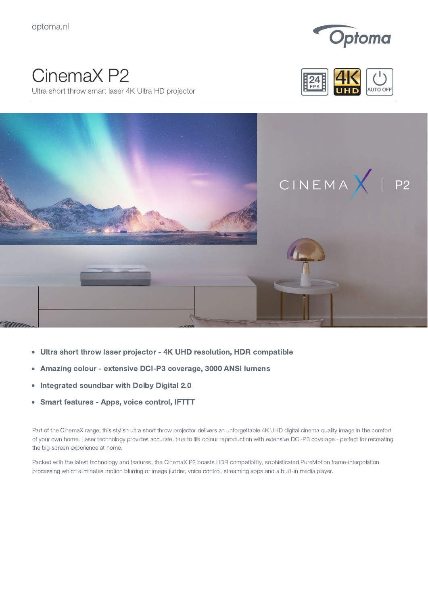

## CinemaX P2

Ultra short throw smart laser 4K Ultra HD projector





- Ultra short throw laser projector 4K UHD resolution, HDR compatible  $\bullet$
- Amazing colour extensive DCI-P3 coverage, 3000 ANSI lumens  $\bullet$
- Integrated soundbar with Dolby Digital 2.0  $\bullet$
- Smart features Apps, voice control, IFTTT  $\bullet$

Part of the CinemaX range, this stylish ultra short throw projector delivers an unforgettable 4K UHD digital cinema quality image in the comfort of your own home. Laser technology provides accurate, true to life colour reproduction with extensive DCI-P3 coverage - perfect for recreating the big-screen experience at home.

Packed with the latest technology and features, the CinemaX P2 boasts HDR compatibility, sophisticated PureMotion frame-interpolation processing which eliminates motion blurring or image judder, voice control, streaming apps and a built-in media player.